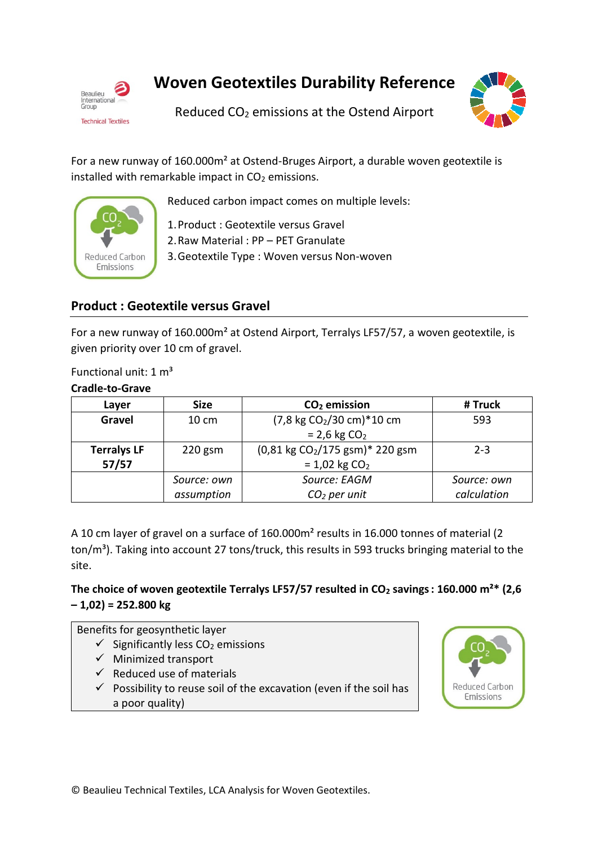

**Woven Geotextiles Durability Reference**

Reduced CO<sub>2</sub> emissions at the Ostend Airport



For a new runway of 160.000m² at Ostend-Bruges Airport, a durable woven geotextile is installed with remarkable impact in  $CO<sub>2</sub>$  emissions.



Reduced carbon impact comes on multiple levels:

1.Product : Geotextile versus Gravel

2.Raw Material : PP – PET Granulate

3.Geotextile Type : Woven versus Non-woven

# **Product : Geotextile versus Gravel**

For a new runway of 160.000m² at Ostend Airport, Terralys LF57/57, a woven geotextile, is given priority over 10 cm of gravel.

Functional unit:  $1 m<sup>3</sup>$ 

**Cradle-to-Grave**

| Laver              | <b>Size</b> | $CO2$ emission                              | # Truck     |
|--------------------|-------------|---------------------------------------------|-------------|
| Gravel             | 10 cm       | (7,8 kg CO <sub>2</sub> /30 cm)*10 cm       | 593         |
|                    |             | $= 2.6$ kg $CO2$                            |             |
| <b>Terralys LF</b> | $220$ gsm   | (0,81 kg CO <sub>2</sub> /175 gsm)* 220 gsm | $2 - 3$     |
| 57/57              |             | $= 1,02$ kg CO <sub>2</sub>                 |             |
|                    | Source: own | Source: EAGM                                | Source: own |
|                    | assumption  | $CO2$ per unit                              | calculation |

A 10 cm layer of gravel on a surface of 160.000m² results in 16.000 tonnes of material (2 ton/m<sup>3</sup>). Taking into account 27 tons/truck, this results in 593 trucks bringing material to the site.

## **The choice of woven geotextile Terralys LF57/57 resulted in CO<sup>2</sup> savings: 160.000 m²\* (2,6 – 1,02) = 252.800 kg**

Benefits for geosynthetic layer

- $\checkmark$  Significantly less CO<sub>2</sub> emissions
- $\checkmark$  Minimized transport
- $\checkmark$  Reduced use of materials
- $\checkmark$  Possibility to reuse soil of the excavation (even if the soil has a poor quality)